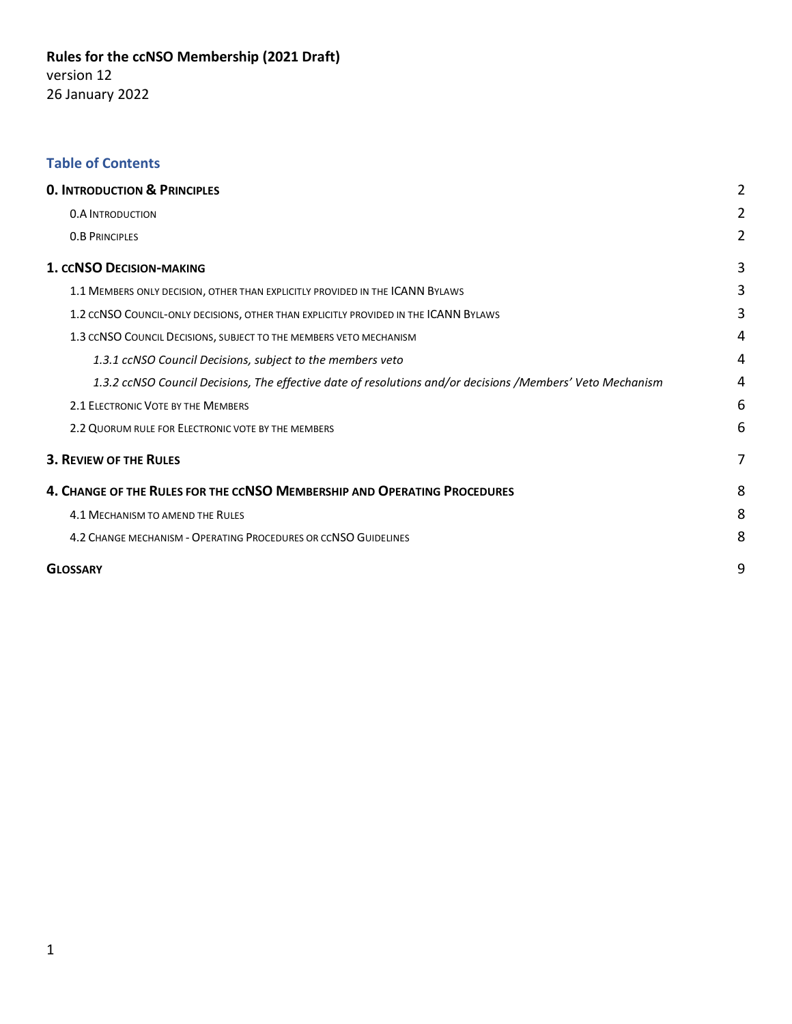# **Rules for the ccNSO Membership (2021 Draft)**

version 12 26 January 2022

#### **Table of Contents**

| <b>0. INTRODUCTION &amp; PRINCIPLES</b>                                                                    | 2 |
|------------------------------------------------------------------------------------------------------------|---|
| <b>0.A INTRODUCTION</b>                                                                                    | 2 |
| <b>0.B PRINCIPLES</b>                                                                                      | 2 |
| <b>1. CCNSO DECISION-MAKING</b>                                                                            | 3 |
| 1.1 MEMBERS ONLY DECISION, OTHER THAN EXPLICITLY PROVIDED IN THE ICANN BYLAWS                              | 3 |
| 1.2 CCNSO COUNCIL-ONLY DECISIONS, OTHER THAN EXPLICITLY PROVIDED IN THE ICANN BYLAWS                       | 3 |
| 1.3 CCNSO COUNCIL DECISIONS, SUBJECT TO THE MEMBERS VETO MECHANISM                                         | 4 |
| 1.3.1 ccNSO Council Decisions, subject to the members veto                                                 | 4 |
| 1.3.2 ccNSO Council Decisions, The effective date of resolutions and/or decisions /Members' Veto Mechanism | 4 |
| 2.1 ELECTRONIC VOTE BY THE MEMBERS                                                                         | 6 |
| 2.2 QUORUM RULE FOR ELECTRONIC VOTE BY THE MEMBERS                                                         | 6 |
| <b>3. REVIEW OF THE RULES</b>                                                                              | 7 |
| 4. CHANGE OF THE RULES FOR THE CCNSO MEMBERSHIP AND OPERATING PROCEDURES                                   | 8 |
| 4.1 MECHANISM TO AMEND THE RULES                                                                           | 8 |
| 4.2 CHANGE MECHANISM - OPERATING PROCEDURES OR CCNSO GUIDELINES                                            | 8 |
| GLOSSARY                                                                                                   | 9 |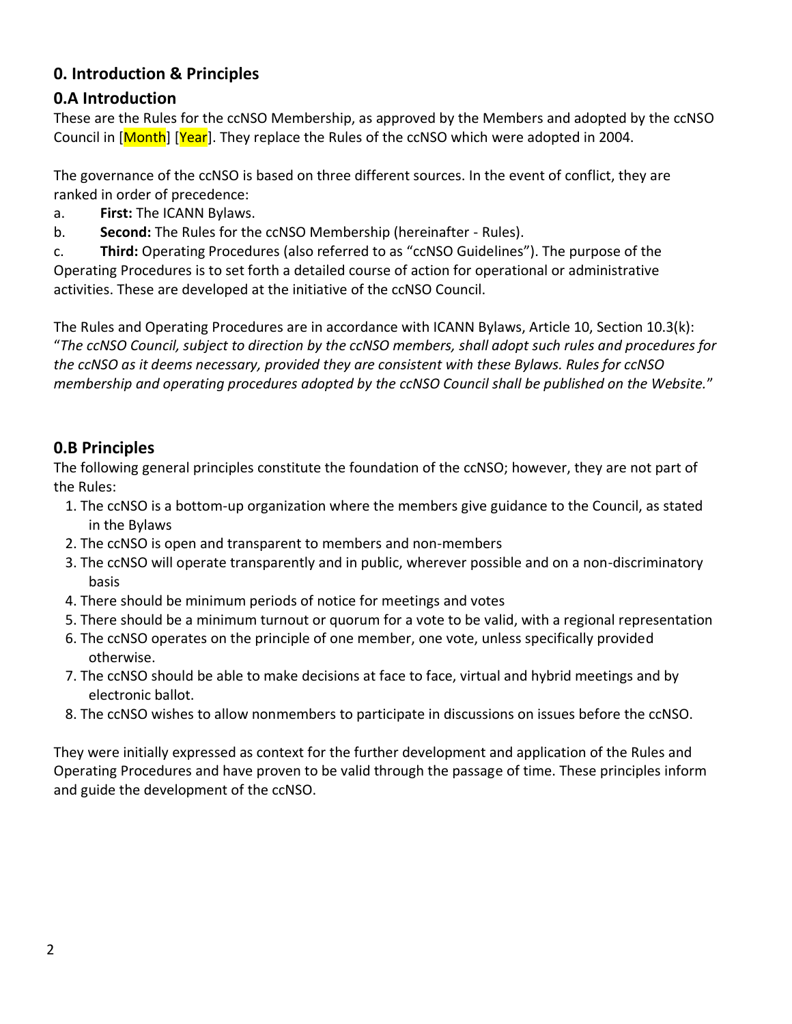# <span id="page-1-0"></span>**0. Introduction & Principles**

# <span id="page-1-1"></span>**0.A Introduction**

These are the Rules for the ccNSO Membership, as approved by the Members and adopted by the ccNSO Council in [Month] [Year]. They replace the Rules of the ccNSO which were adopted in 2004.

The governance of the ccNSO is based on three different sources. In the event of conflict, they are ranked in order of precedence:

- a. **First:** The ICANN Bylaws.
- b. **Second:** The Rules for the ccNSO Membership (hereinafter Rules).

c. **Third:** Operating Procedures (also referred to as "ccNSO Guidelines"). The purpose of the Operating Procedures is to set forth a detailed course of action for operational or administrative activities. These are developed at the initiative of the ccNSO Council.

The Rules and Operating Procedures are in accordance with ICANN Bylaws, Article 10, Section 10.3(k): "*The ccNSO Council, subject to direction by the ccNSO members, shall adopt such rules and procedures for the ccNSO as it deems necessary, provided they are consistent with these Bylaws. Rules for ccNSO membership and operating procedures adopted by the ccNSO Council shall be published on the Website.*"

# <span id="page-1-2"></span>**0.B Principles**

The following general principles constitute the foundation of the ccNSO; however, they are not part of the Rules:

- 1. The ccNSO is a bottom-up organization where the members give guidance to the Council, as stated in the Bylaws
- 2. The ccNSO is open and transparent to members and non-members
- 3. The ccNSO will operate transparently and in public, wherever possible and on a non-discriminatory basis
- 4. There should be minimum periods of notice for meetings and votes
- 5. There should be a minimum turnout or quorum for a vote to be valid, with a regional representation
- 6. The ccNSO operates on the principle of one member, one vote, unless specifically provided otherwise.
- 7. The ccNSO should be able to make decisions at face to face, virtual and hybrid meetings and by electronic ballot.
- 8. The ccNSO wishes to allow nonmembers to participate in discussions on issues before the ccNSO.

They were initially expressed as context for the further development and application of the Rules and Operating Procedures and have proven to be valid through the passage of time. These principles inform and guide the development of the ccNSO.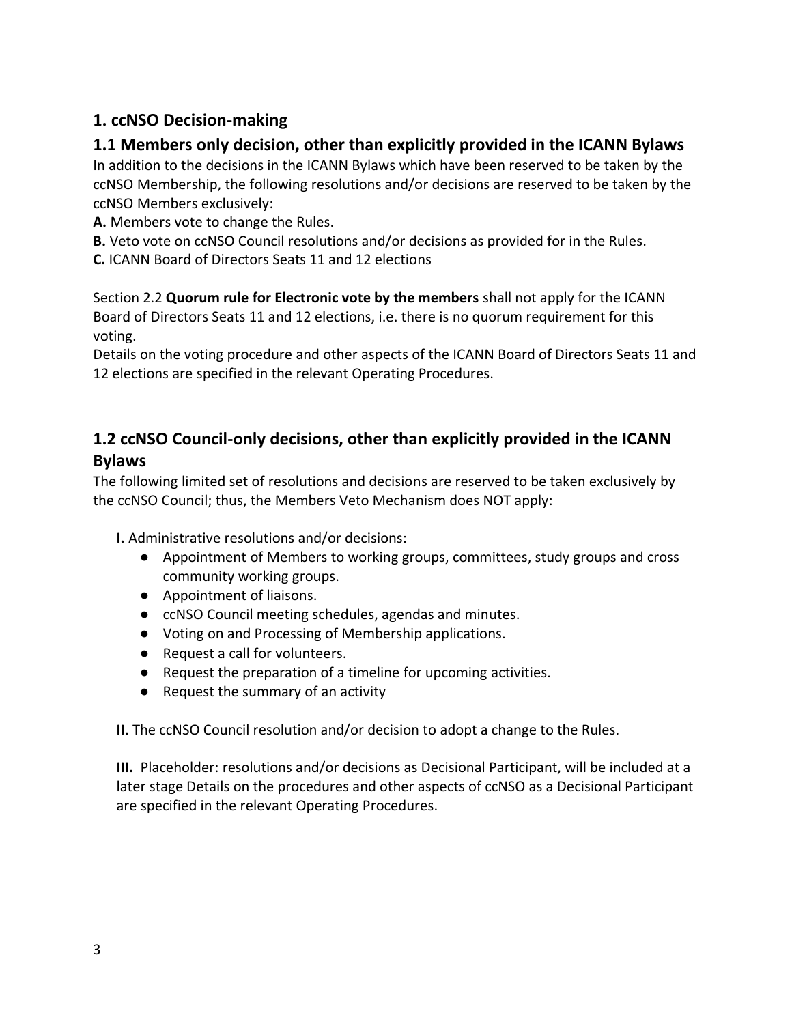# <span id="page-2-0"></span>**1. ccNSO Decision-making**

# <span id="page-2-1"></span>**1.1 Members only decision, other than explicitly provided in the ICANN Bylaws**

In addition to the decisions in the ICANN Bylaws which have been reserved to be taken by the ccNSO Membership, the following resolutions and/or decisions are reserved to be taken by the ccNSO Members exclusively:

- **A.** Members vote to change the Rules.
- **B.** Veto vote on ccNSO Council resolutions and/or decisions as provided for in the Rules.
- **C.** ICANN Board of Directors Seats 11 and 12 elections

Section 2.2 **Quorum rule for Electronic vote by the members** shall not apply for the ICANN Board of Directors Seats 11 and 12 elections, i.e. there is no quorum requirement for this voting.

Details on the voting procedure and other aspects of the ICANN Board of Directors Seats 11 and 12 elections are specified in the relevant Operating Procedures.

# <span id="page-2-2"></span>**1.2 ccNSO Council-only decisions, other than explicitly provided in the ICANN Bylaws**

The following limited set of resolutions and decisions are reserved to be taken exclusively by the ccNSO Council; thus, the Members Veto Mechanism does NOT apply:

**I.** Administrative resolutions and/or decisions:

- Appointment of Members to working groups, committees, study groups and cross community working groups.
- Appointment of liaisons.
- ccNSO Council meeting schedules, agendas and minutes.
- Voting on and Processing of Membership applications.
- Request a call for volunteers.
- Request the preparation of a timeline for upcoming activities.
- Request the summary of an activity

**II.** The ccNSO Council resolution and/or decision to adopt a change to the Rules.

**III.** Placeholder: resolutions and/or decisions as Decisional Participant, will be included at a later stage Details on the procedures and other aspects of ccNSO as a Decisional Participant are specified in the relevant Operating Procedures.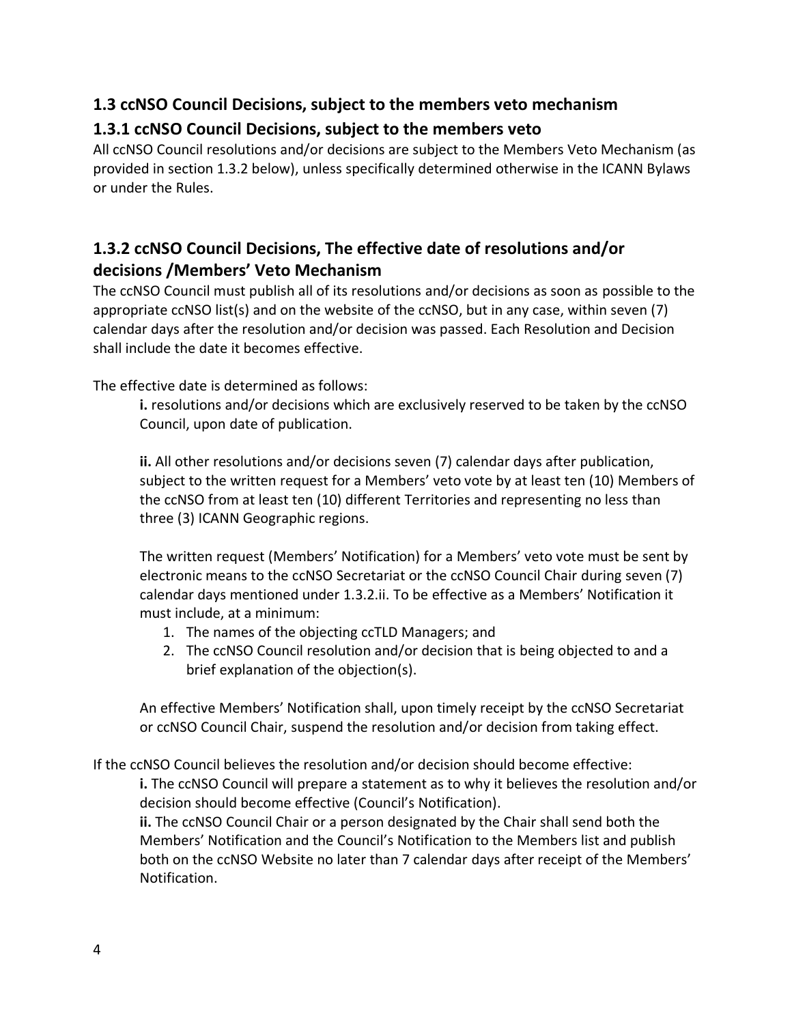# <span id="page-3-0"></span>**1.3 ccNSO Council Decisions, subject to the members veto mechanism**

#### <span id="page-3-1"></span>**1.3.1 ccNSO Council Decisions, subject to the members veto**

All ccNSO Council resolutions and/or decisions are subject to the Members Veto Mechanism (as provided in section 1.3.2 below), unless specifically determined otherwise in the ICANN Bylaws or under the Rules.

# <span id="page-3-2"></span>**1.3.2 ccNSO Council Decisions, The effective date of resolutions and/or decisions /Members' Veto Mechanism**

The ccNSO Council must publish all of its resolutions and/or decisions as soon as possible to the appropriate ccNSO list(s) and on the website of the ccNSO, but in any case, within seven (7) calendar days after the resolution and/or decision was passed. Each Resolution and Decision shall include the date it becomes effective.

The effective date is determined as follows:

**i.** resolutions and/or decisions which are exclusively reserved to be taken by the ccNSO Council, upon date of publication.

**ii.** All other resolutions and/or decisions seven (7) calendar days after publication, subject to the written request for a Members' veto vote by at least ten (10) Members of the ccNSO from at least ten (10) different Territories and representing no less than three (3) ICANN Geographic regions.

The written request (Members' Notification) for a Members' veto vote must be sent by electronic means to the ccNSO Secretariat or the ccNSO Council Chair during seven (7) calendar days mentioned under 1.3.2.ii. To be effective as a Members' Notification it must include, at a minimum:

- 1. The names of the objecting ccTLD Managers; and
- 2. The ccNSO Council resolution and/or decision that is being objected to and a brief explanation of the objection(s).

An effective Members' Notification shall, upon timely receipt by the ccNSO Secretariat or ccNSO Council Chair, suspend the resolution and/or decision from taking effect.

If the ccNSO Council believes the resolution and/or decision should become effective:

**i.** The ccNSO Council will prepare a statement as to why it believes the resolution and/or decision should become effective (Council's Notification).

**ii.** The ccNSO Council Chair or a person designated by the Chair shall send both the Members' Notification and the Council's Notification to the Members list and publish both on the ccNSO Website no later than 7 calendar days after receipt of the Members' Notification.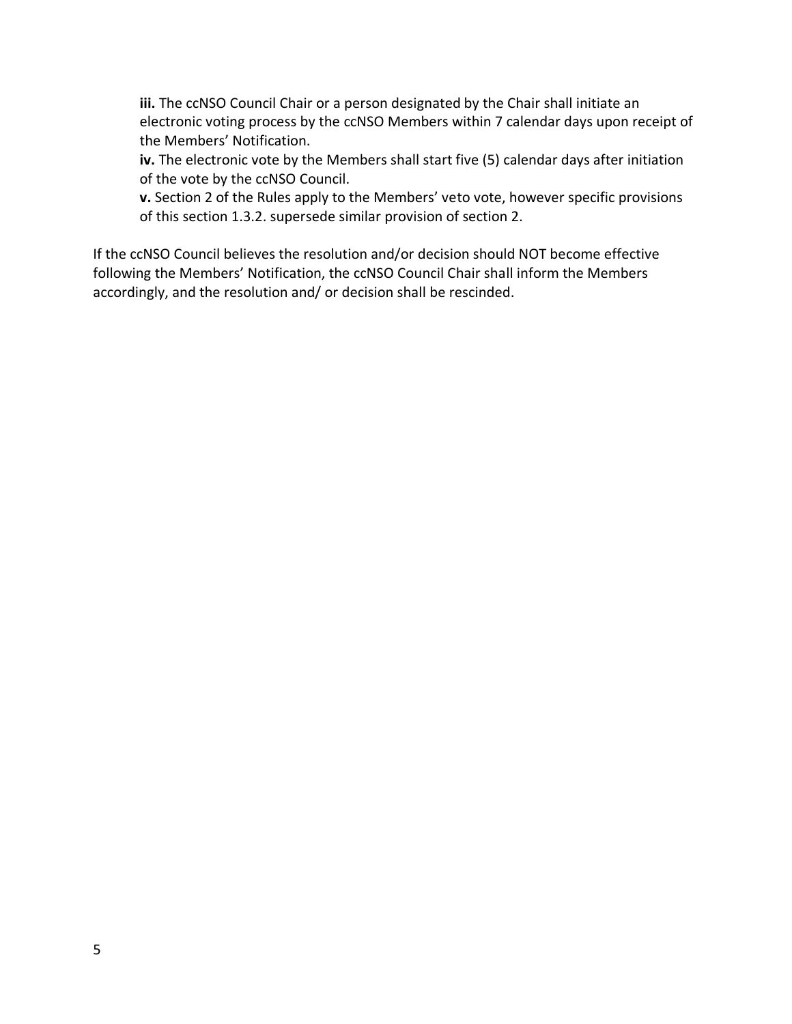**iii.** The ccNSO Council Chair or a person designated by the Chair shall initiate an electronic voting process by the ccNSO Members within 7 calendar days upon receipt of the Members' Notification.

**iv.** The electronic vote by the Members shall start five (5) calendar days after initiation of the vote by the ccNSO Council.

**v.** Section 2 of the Rules apply to the Members' veto vote, however specific provisions of this section 1.3.2. supersede similar provision of section 2.

If the ccNSO Council believes the resolution and/or decision should NOT become effective following the Members' Notification, the ccNSO Council Chair shall inform the Members accordingly, and the resolution and/ or decision shall be rescinded.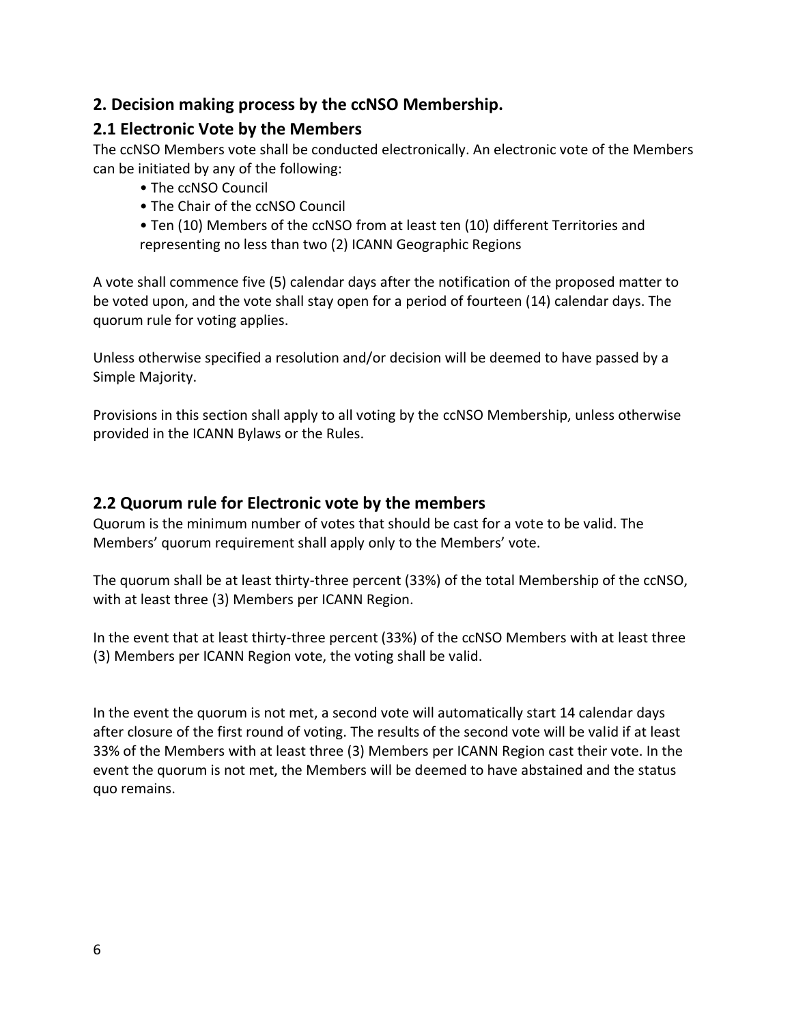#### **2. Decision making process by the ccNSO Membership.**

### <span id="page-5-0"></span>**2.1 Electronic Vote by the Members**

The ccNSO Members vote shall be conducted electronically. An electronic vote of the Members can be initiated by any of the following:

- The ccNSO Council
- The Chair of the ccNSO Council

• Ten (10) Members of the ccNSO from at least ten (10) different Territories and representing no less than two (2) ICANN Geographic Regions

A vote shall commence five (5) calendar days after the notification of the proposed matter to be voted upon, and the vote shall stay open for a period of fourteen (14) calendar days. The quorum rule for voting applies.

Unless otherwise specified a resolution and/or decision will be deemed to have passed by a Simple Majority.

Provisions in this section shall apply to all voting by the ccNSO Membership, unless otherwise provided in the ICANN Bylaws or the Rules.

#### <span id="page-5-1"></span>**2.2 Quorum rule for Electronic vote by the members**

Quorum is the minimum number of votes that should be cast for a vote to be valid. The Members' quorum requirement shall apply only to the Members' vote.

The quorum shall be at least thirty-three percent (33%) of the total Membership of the ccNSO, with at least three (3) Members per ICANN Region.

In the event that at least thirty-three percent (33%) of the ccNSO Members with at least three (3) Members per ICANN Region vote, the voting shall be valid.

In the event the quorum is not met, a second vote will automatically start 14 calendar days after closure of the first round of voting. The results of the second vote will be valid if at least 33% of the Members with at least three (3) Members per ICANN Region cast their vote. In the event the quorum is not met, the Members will be deemed to have abstained and the status quo remains.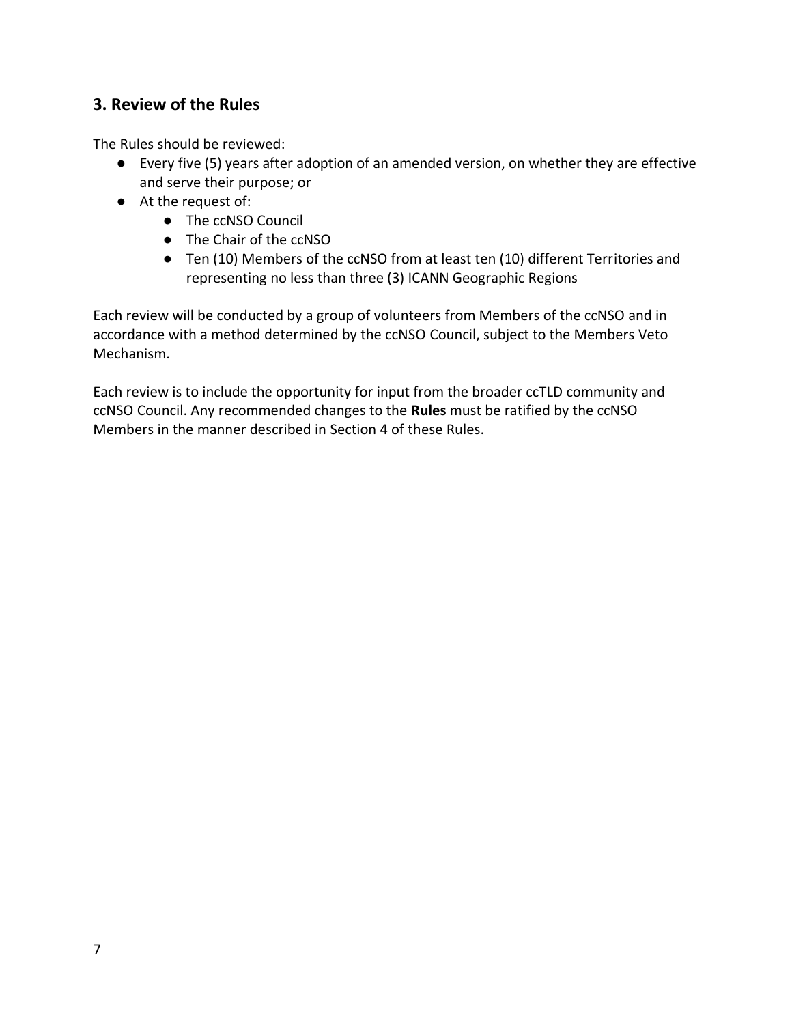#### <span id="page-6-0"></span>**3. Review of the Rules**

The Rules should be reviewed:

- Every five (5) years after adoption of an amended version, on whether they are effective and serve their purpose; or
- At the request of:
	- The ccNSO Council
	- The Chair of the ccNSO
	- Ten (10) Members of the ccNSO from at least ten (10) different Territories and representing no less than three (3) ICANN Geographic Regions

Each review will be conducted by a group of volunteers from Members of the ccNSO and in accordance with a method determined by the ccNSO Council, subject to the Members Veto Mechanism.

Each review is to include the opportunity for input from the broader ccTLD community and ccNSO Council. Any recommended changes to the **Rules** must be ratified by the ccNSO Members in the manner described in Section 4 of these Rules.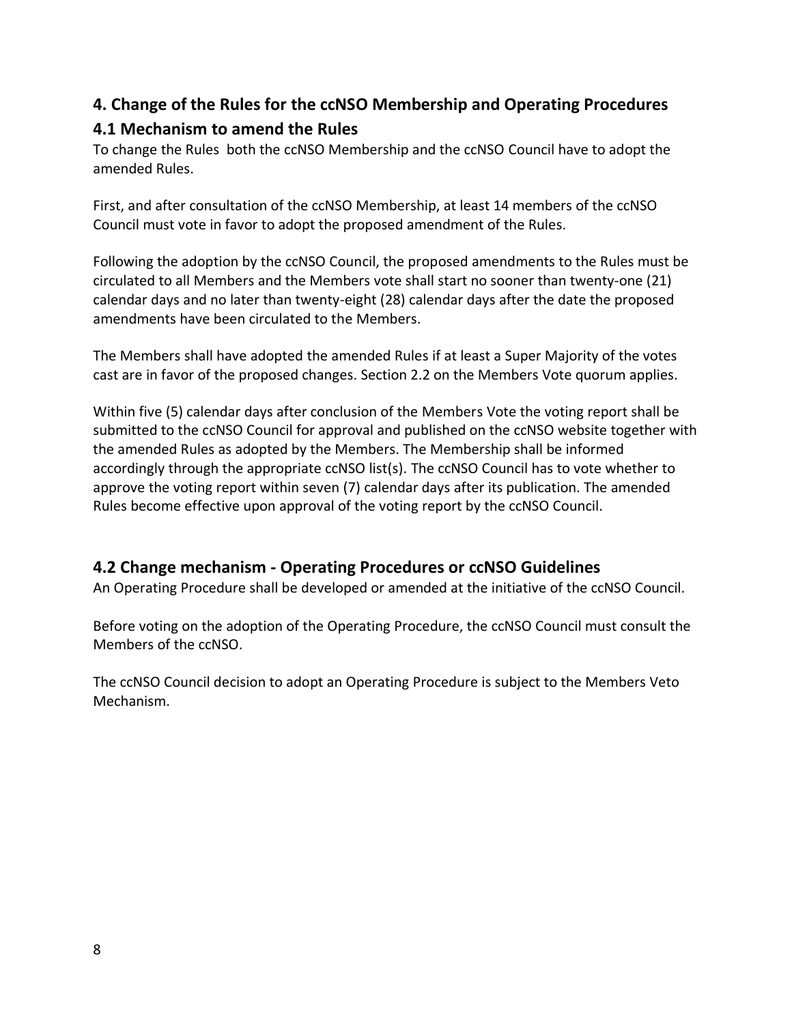# <span id="page-7-1"></span><span id="page-7-0"></span>**4. Change of the Rules for the ccNSO Membership and Operating Procedures 4.1 Mechanism to amend the Rules**

To change the Rules both the ccNSO Membership and the ccNSO Council have to adopt the amended Rules.

First, and after consultation of the ccNSO Membership, at least 14 members of the ccNSO Council must vote in favor to adopt the proposed amendment of the Rules.

Following the adoption by the ccNSO Council, the proposed amendments to the Rules must be circulated to all Members and the Members vote shall start no sooner than twenty‐one (21) calendar days and no later than twenty-eight (28) calendar days after the date the proposed amendments have been circulated to the Members.

The Members shall have adopted the amended Rules if at least a Super Majority of the votes cast are in favor of the proposed changes. Section 2.2 on the Members Vote quorum applies.

Within five (5) calendar days after conclusion of the Members Vote the voting report shall be submitted to the ccNSO Council for approval and published on the ccNSO website together with the amended Rules as adopted by the Members. The Membership shall be informed accordingly through the appropriate ccNSO list(s). The ccNSO Council has to vote whether to approve the voting report within seven (7) calendar days after its publication. The amended Rules become effective upon approval of the voting report by the ccNSO Council.

### <span id="page-7-2"></span>**4.2 Change mechanism - Operating Procedures or ccNSO Guidelines**

An Operating Procedure shall be developed or amended at the initiative of the ccNSO Council.

Before voting on the adoption of the Operating Procedure, the ccNSO Council must consult the Members of the ccNSO.

The ccNSO Council decision to adopt an Operating Procedure is subject to the Members Veto Mechanism.